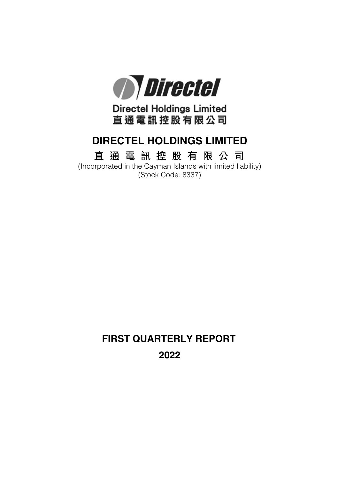

**Directel Holdings Limited** 直通電訊控股有限公司

# **DIRECTEL HOLDINGS LIMITED**

# **直 通 電 訊 控 股 有 限 公 司**

(Incorporated in the Cayman Islands with limited liability) (Stock Code: 8337)

> **FIRST QUARTERLY REPORT 2022**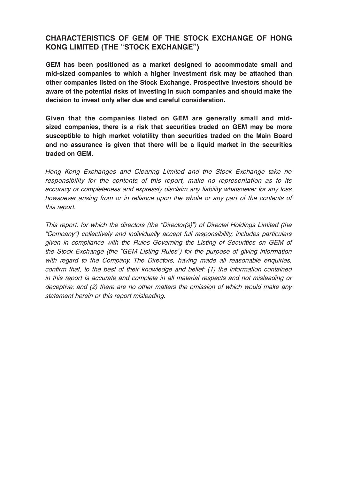# **CHARACTERISTICS OF GEM OF THE STOCK EXCHANGE OF HONG KONG LIMITED (THE "STOCK EXCHANGE")**

**GEM has been positioned as a market designed to accommodate small and mid-sized companies to which a higher investment risk may be attached than other companies listed on the Stock Exchange. Prospective investors should be aware of the potential risks of investing in such companies and should make the decision to invest only after due and careful consideration.**

**Given that the companies listed on GEM are generally small and midsized companies, there is a risk that securities traded on GEM may be more susceptible to high market volatility than securities traded on the Main Board and no assurance is given that there will be a liquid market in the securities traded on GEM.**

Hong Kong Exchanges and Clearing Limited and the Stock Exchange take no responsibility for the contents of this report, make no representation as to its accuracy or completeness and expressly disclaim any liability whatsoever for any loss howsoever arising from or in reliance upon the whole or any part of the contents of this report.

This report, for which the directors (the "Director(s)") of Directel Holdings Limited (the "Company") collectively and individually accept full responsibility, includes particulars given in compliance with the Rules Governing the Listing of Securities on GEM of the Stock Exchange (the "GEM Listing Rules") for the purpose of giving information with regard to the Company. The Directors, having made all reasonable enquiries, confirm that, to the best of their knowledge and belief: (1) the information contained in this report is accurate and complete in all material respects and not misleading or deceptive; and (2) there are no other matters the omission of which would make any statement herein or this report misleading.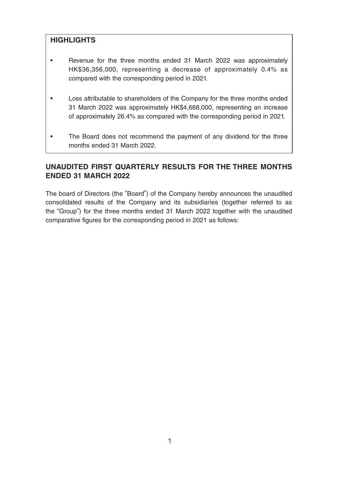# **HIGHLIGHTS**

- Revenue for the three months ended 31 March 2022 was approximately HK\$36,356,000, representing a decrease of approximately 0.4% as compared with the corresponding period in 2021.
- Loss attributable to shareholders of the Company for the three months ended 31 March 2022 was approximately HK\$4,668,000, representing an increase of approximately 26.4% as compared with the corresponding period in 2021.
- The Board does not recommend the payment of any dividend for the three months ended 31 March 2022.

# **UNAUDITED FIRST QUARTERLY RESULTS FOR THE THREE MONTHS ENDED 31 MARCH 2022**

The board of Directors (the "Board") of the Company hereby announces the unaudited consolidated results of the Company and its subsidiaries (together referred to as the "Group") for the three months ended 31 March 2022 together with the unaudited comparative figures for the corresponding period in 2021 as follows: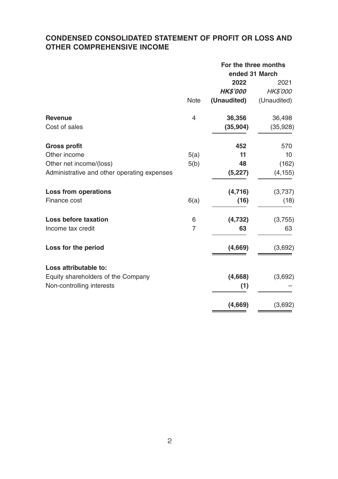# **CONDENSED CONSOLIDATED STATEMENT OF PROFIT OR LOSS AND OTHER COMPREHENSIVE INCOME**

|                                             |                          | For the three months<br>ended 31 March |                 |  |
|---------------------------------------------|--------------------------|----------------------------------------|-----------------|--|
|                                             |                          | 2022                                   | 2021            |  |
|                                             |                          | <b>HKS'000</b>                         | <b>HK\$'000</b> |  |
|                                             | <b>Note</b>              | (Unaudited)                            | (Unaudited)     |  |
| <b>Revenue</b>                              | $\overline{\mathcal{L}}$ | 36,356                                 | 36,498          |  |
| Cost of sales                               |                          | (35,904)                               | (35, 928)       |  |
| <b>Gross profit</b>                         |                          | 452                                    | 570             |  |
| Other income                                | 5(a)                     | 11                                     | 10              |  |
| Other net income/(loss)                     | 5(b)                     | 48                                     | (162)           |  |
| Administrative and other operating expenses |                          | (5,227)                                | (4, 155)        |  |
| Loss from operations                        |                          | (4,716)                                | (3,737)         |  |
| Finance cost                                | 6(a)                     | (16)                                   | (18)            |  |
| Loss before taxation                        | 6                        | (4,732)                                | (3,755)         |  |
| Income tax credit                           | $\overline{7}$           | 63                                     | 63              |  |
| Loss for the period                         |                          | (4,669)                                | (3,692)         |  |
| Loss attributable to:                       |                          |                                        |                 |  |
| Equity shareholders of the Company          |                          | (4,668)                                | (3,692)         |  |
| Non-controlling interests                   |                          | (1)                                    |                 |  |
|                                             |                          | (4,669)                                | (3,692)         |  |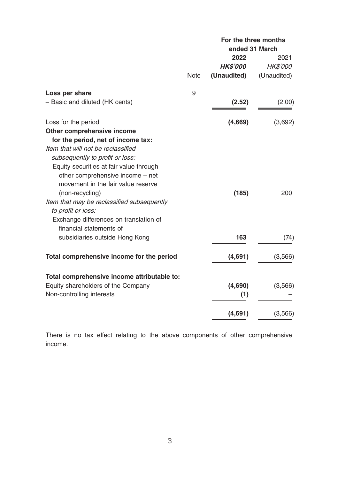|                                             |             | For the three months |             |  |
|---------------------------------------------|-------------|----------------------|-------------|--|
|                                             |             | ended 31 March       |             |  |
|                                             |             | 2022                 | 2021        |  |
|                                             |             | <b>HK\$'000</b>      | HK\$'000    |  |
|                                             | <b>Note</b> | (Unaudited)          | (Unaudited) |  |
| Loss per share                              | 9           |                      |             |  |
| - Basic and diluted (HK cents)              |             | (2.52)               | (2.00)      |  |
| Loss for the period                         |             | (4,669)              | (3,692)     |  |
| Other comprehensive income                  |             |                      |             |  |
| for the period, net of income tax:          |             |                      |             |  |
| Item that will not be reclassified          |             |                      |             |  |
| subsequently to profit or loss:             |             |                      |             |  |
| Equity securities at fair value through     |             |                      |             |  |
| other comprehensive income - net            |             |                      |             |  |
| movement in the fair value reserve          |             |                      |             |  |
| (non-recycling)                             |             | (185)                | 200         |  |
| Item that may be reclassified subsequently  |             |                      |             |  |
| to profit or loss:                          |             |                      |             |  |
| Exchange differences on translation of      |             |                      |             |  |
| financial statements of                     |             |                      |             |  |
| subsidiaries outside Hong Kong              |             | 163                  | (74)        |  |
| Total comprehensive income for the period   |             | (4,691)              | (3,566)     |  |
|                                             |             |                      |             |  |
| Total comprehensive income attributable to: |             |                      |             |  |
| Equity shareholders of the Company          |             | (4,690)              | (3,566)     |  |
| Non-controlling interests                   |             | (1)                  |             |  |
|                                             |             | (4,691)              | (3,566)     |  |
|                                             |             |                      |             |  |

There is no tax effect relating to the above components of other comprehensive income.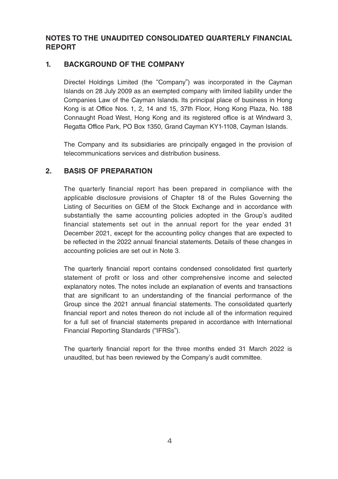# **NOTES TO THE UNAUDITED CONSOLIDATED QUARTERLY FINANCIAL REPORT**

### **1. BACKGROUND OF THE COMPANY**

Directel Holdings Limited (the "Company") was incorporated in the Cayman Islands on 28 July 2009 as an exempted company with limited liability under the Companies Law of the Cayman Islands. Its principal place of business in Hong Kong is at Office Nos. 1, 2, 14 and 15, 37th Floor, Hong Kong Plaza, No. 188 Connaught Road West, Hong Kong and its registered office is at Windward 3, Regatta Office Park, PO Box 1350, Grand Cayman KY1-1108, Cayman Islands.

The Company and its subsidiaries are principally engaged in the provision of telecommunications services and distribution business.

### **2. BASIS OF PREPARATION**

The quarterly financial report has been prepared in compliance with the applicable disclosure provisions of Chapter 18 of the Rules Governing the Listing of Securities on GEM of the Stock Exchange and in accordance with substantially the same accounting policies adopted in the Group's audited financial statements set out in the annual report for the year ended 31 December 2021, except for the accounting policy changes that are expected to be reflected in the 2022 annual financial statements. Details of these changes in accounting policies are set out in Note 3.

The quarterly financial report contains condensed consolidated first quarterly statement of profit or loss and other comprehensive income and selected explanatory notes. The notes include an explanation of events and transactions that are significant to an understanding of the financial performance of the Group since the 2021 annual financial statements. The consolidated quarterly financial report and notes thereon do not include all of the information required for a full set of financial statements prepared in accordance with International Financial Reporting Standards ("IFRSs").

The quarterly financial report for the three months ended 31 March 2022 is unaudited, but has been reviewed by the Company's audit committee.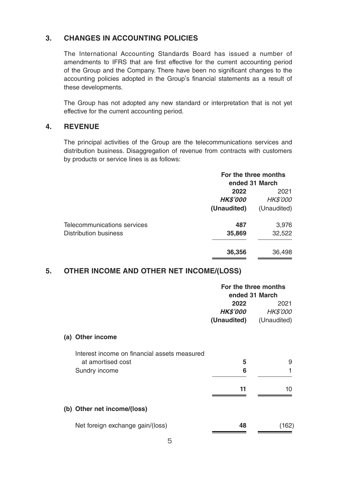# **3. CHANGES IN ACCOUNTING POLICIES**

The International Accounting Standards Board has issued a number of amendments to IFRS that are first effective for the current accounting period of the Group and the Company. There have been no significant changes to the accounting policies adopted in the Group's financial statements as a result of these developments.

The Group has not adopted any new standard or interpretation that is not yet effective for the current accounting period.

### **4. REVENUE**

The principal activities of the Group are the telecommunications services and distribution business. Disaggregation of revenue from contracts with customers by products or service lines is as follows:

|                             | For the three months |                 |  |
|-----------------------------|----------------------|-----------------|--|
|                             | ended 31 March       |                 |  |
|                             | 2022<br>2021         |                 |  |
|                             | <b>HK\$'000</b>      | <b>HK\$'000</b> |  |
|                             | (Unaudited)          | (Unaudited)     |  |
| Telecommunications services | 487                  | 3,976           |  |
| Distribution business       | 35,869               | 32,522          |  |
|                             | 36,356               | 36,498          |  |

### **5. OTHER INCOME AND OTHER NET INCOME/(LOSS)**

|                                              | For the three months<br>ended 31 March |                 |  |
|----------------------------------------------|----------------------------------------|-----------------|--|
|                                              | 2022                                   | 2021            |  |
|                                              | <i><b>HK\$'000</b></i>                 | <b>HK\$'000</b> |  |
|                                              | (Unaudited)                            | (Unaudited)     |  |
| Other income<br>(a)                          |                                        |                 |  |
| Interest income on financial assets measured |                                        |                 |  |
| at amortised cost                            | 5                                      | 9               |  |
| Sundry income                                | 6                                      | 1               |  |
|                                              |                                        |                 |  |
|                                              | 11                                     | 10              |  |
|                                              |                                        |                 |  |
| (b) Other net income/(loss)                  |                                        |                 |  |
| Net foreign exchange gain/(loss)             | 48                                     | (162)           |  |
|                                              |                                        |                 |  |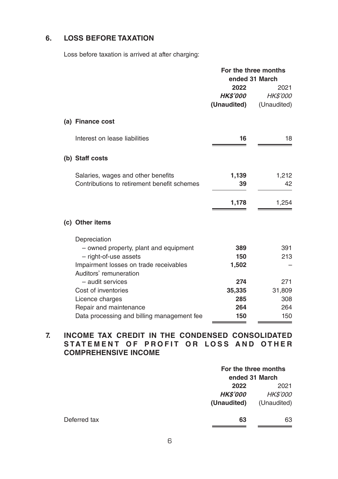# **6. LOSS BEFORE TAXATION**

Loss before taxation is arrived at after charging:

|                                             | For the three months   |                         |  |
|---------------------------------------------|------------------------|-------------------------|--|
|                                             | ended 31 March         |                         |  |
|                                             | 2022<br><b>HKS'000</b> | 2021<br><b>HK\$'000</b> |  |
|                                             | (Unaudited)            | (Unaudited)             |  |
|                                             |                        |                         |  |
| (a) Finance cost                            |                        |                         |  |
| Interest on lease liabilities               | 16                     | 18                      |  |
| (b) Staff costs                             |                        |                         |  |
| Salaries, wages and other benefits          | 1,139                  | 1,212                   |  |
| Contributions to retirement benefit schemes | 39                     | 42                      |  |
|                                             |                        |                         |  |
|                                             | 1,178                  | 1,254                   |  |
| (c) Other items                             |                        |                         |  |
| Depreciation                                |                        |                         |  |
| - owned property, plant and equipment       | 389                    | 391                     |  |
| - right-of-use assets                       | 150                    | 213                     |  |
| Impairment losses on trade receivables      | 1,502                  |                         |  |
| Auditors' remuneration<br>- audit services  | 274                    | 271                     |  |
| Cost of inventories                         | 35,335                 | 31,809                  |  |
| Licence charges                             | 285                    | 308                     |  |
| Repair and maintenance                      | 264                    | 264                     |  |
| Data processing and billing management fee  | 150                    | 150                     |  |

# **7. INCOME TAX CREDIT IN THE CONDENSED CONSOLIDATED STATEMENT OF PROFIT OR LOSS AND OTHER COMPREHENSIVE INCOME**

|              | For the three months<br>ended 31 March |                                        |  |
|--------------|----------------------------------------|----------------------------------------|--|
|              | 2022<br><b>HK\$'000</b><br>(Unaudited) | 2021<br><b>HK\$'000</b><br>(Unaudited) |  |
| Deferred tax | 63                                     | 63                                     |  |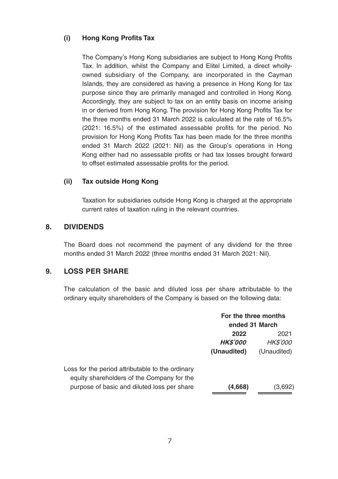### **(i) Hong Kong Profits Tax**

The Company's Hong Kong subsidiaries are subject to Hong Kong Profits Tax. In addition, whilst the Company and Elitel Limited, a direct whollyowned subsidiary of the Company, are incorporated in the Cayman Islands, they are considered as having a presence in Hong Kong for tax purpose since they are primarily managed and controlled in Hong Kong. Accordingly, they are subject to tax on an entity basis on income arising in or derived from Hong Kong. The provision for Hong Kong Profits Tax for the three months ended 31 March 2022 is calculated at the rate of 16.5% (2021: 16.5%) of the estimated assessable profits for the period. No provision for Hong Kong Profits Tax has been made for the three months ended 31 March 2022 (2021: Nil) as the Group's operations in Hong Kong either had no assessable profits or had tax losses brought forward to offset estimated assessable profits for the period.

### **(ii) Tax outside Hong Kong**

Taxation for subsidiaries outside Hong Kong is charged at the appropriate current rates of taxation ruling in the relevant countries.

### **8. DIVIDENDS**

The Board does not recommend the payment of any dividend for the three months ended 31 March 2022 (three months ended 31 March 2021: Nil).

### **9. LOSS PER SHARE**

The calculation of the basic and diluted loss per share attributable to the ordinary equity shareholders of the Company is based on the following data:

|                                                                                                | For the three months<br>ended 31 March |                 |
|------------------------------------------------------------------------------------------------|----------------------------------------|-----------------|
|                                                                                                | 2022<br>2021                           |                 |
|                                                                                                | <b>HK\$'000</b>                        | <b>HK\$'000</b> |
|                                                                                                | (Unaudited)                            | (Unaudited)     |
| Loss for the period attributable to the ordinary<br>equity shareholders of the Company for the |                                        |                 |
| purpose of basic and diluted loss per share                                                    | (4,668)                                | (3,692)         |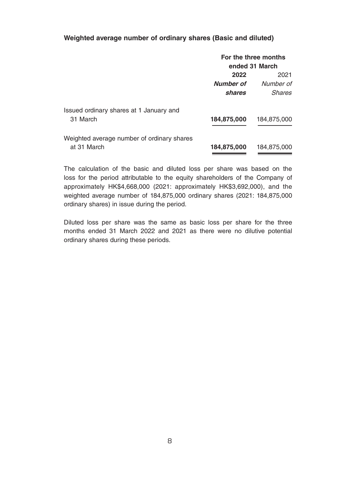#### **Weighted average number of ordinary shares (Basic and diluted)**

|                                            | For the three months |             |  |
|--------------------------------------------|----------------------|-------------|--|
|                                            | ended 31 March       |             |  |
|                                            | 2022                 | 2021        |  |
|                                            | <b>Number of</b>     | Number of   |  |
|                                            | shares               | Shares      |  |
| Issued ordinary shares at 1 January and    |                      |             |  |
| 31 March                                   | 184,875,000          | 184,875,000 |  |
| Weighted average number of ordinary shares |                      |             |  |
| at 31 March                                | 184,875,000          | 184,875,000 |  |

The calculation of the basic and diluted loss per share was based on the loss for the period attributable to the equity shareholders of the Company of approximately HK\$4,668,000 (2021: approximately HK\$3,692,000), and the weighted average number of 184,875,000 ordinary shares (2021: 184,875,000 ordinary shares) in issue during the period.

Diluted loss per share was the same as basic loss per share for the three months ended 31 March 2022 and 2021 as there were no dilutive potential ordinary shares during these periods.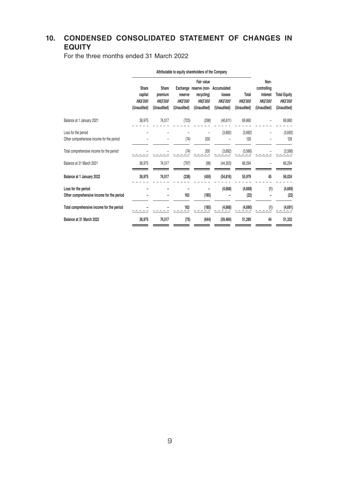# **10. CONDENSED CONSOLIDATED STATEMENT OF CHANGES IN EQUITY**

For the three months ended 31 March 2022

|                                                                  | Attributable to equity shareholders of the Company |                                                   |                                          |                                                                                     |                                                        |                                        |                                                                  |                                                      |
|------------------------------------------------------------------|----------------------------------------------------|---------------------------------------------------|------------------------------------------|-------------------------------------------------------------------------------------|--------------------------------------------------------|----------------------------------------|------------------------------------------------------------------|------------------------------------------------------|
|                                                                  | Share<br>capital<br><b>HKS'000</b><br>(Unaudited)  | Share<br>premium<br><b>HKS'000</b><br>(Unaudited) | reserve<br><b>HKS'000</b><br>(Unaudited) | Fair value<br>Exchange reserve (non-<br>recycling)<br><b>HKS'000</b><br>(Unaudited) | Accumulated<br>losses<br><b>HKS'000</b><br>(Unaudited) | Total<br><b>HKS'000</b><br>(Unaudited) | Non-<br>controlling<br>interest<br><b>HKS'000</b><br>(Unaudited) | <b>Total Equity</b><br><b>HKS'000</b><br>(Unaudited) |
| Balance at 1 January 2021                                        | 36,975                                             | 74,517                                            | (723)                                    | (298)                                                                               | (40, 611)                                              | 69,860                                 |                                                                  | 69,860                                               |
| Loss for the period<br>Other comprehensive income for the period |                                                    |                                                   | (74)                                     | 200                                                                                 | (3,692)                                                | (3,692)<br>126                         |                                                                  | (3,692)<br>126                                       |
| Total comprehensive income for the period                        |                                                    |                                                   | (74)                                     | 200                                                                                 | (3,692)                                                | (3,566)                                |                                                                  | (3,566)                                              |
| Balance at 31 March 2021                                         | 36,975                                             | 74,517                                            | (797)                                    | (98)                                                                                | (44, 303)                                              | 66,294                                 |                                                                  | 66,294                                               |
| Balance at 1 January 2022                                        | 36,975                                             | 74,517                                            | (238)                                    | (459)                                                                               | (54, 816)                                              | 55,979                                 | 45                                                               | 56,024                                               |
| Loss for the period<br>Other comprehensive income for the period |                                                    |                                                   | 163                                      | (185)                                                                               | (4,668)                                                | (4,668)<br>(22)                        | (1)                                                              | (4,669)<br>(22)                                      |
| Total comprehensive income for the period                        |                                                    |                                                   | 163                                      | (185)                                                                               | (4,668)                                                | (4,690)                                | (1)                                                              | (4,691)                                              |
| Balance at 31 March 2022                                         | 36,975                                             | 74,517                                            | (75)                                     | (644)                                                                               | (59, 484)                                              | 51,289                                 | 44                                                               | 51,333                                               |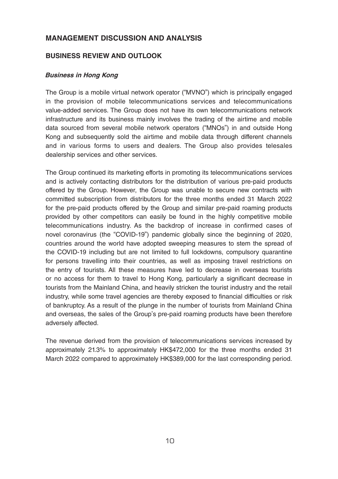### **MANAGEMENT DISCUSSION AND ANALYSIS**

### **BUSINESS REVIEW AND OUTLOOK**

#### **Business in Hong Kong**

The Group is a mobile virtual network operator ("MVNO") which is principally engaged in the provision of mobile telecommunications services and telecommunications value-added services. The Group does not have its own telecommunications network infrastructure and its business mainly involves the trading of the airtime and mobile data sourced from several mobile network operators ("MNOs") in and outside Hong Kong and subsequently sold the airtime and mobile data through different channels and in various forms to users and dealers. The Group also provides telesales dealership services and other services.

The Group continued its marketing efforts in promoting its telecommunications services and is actively contacting distributors for the distribution of various pre-paid products offered by the Group. However, the Group was unable to secure new contracts with committed subscription from distributors for the three months ended 31 March 2022 for the pre-paid products offered by the Group and similar pre-paid roaming products provided by other competitors can easily be found in the highly competitive mobile telecommunications industry. As the backdrop of increase in confirmed cases of novel coronavirus (the "COVID-19") pandemic globally since the beginning of 2020, countries around the world have adopted sweeping measures to stem the spread of the COVID-19 including but are not limited to full lockdowns, compulsory quarantine for persons travelling into their countries, as well as imposing travel restrictions on the entry of tourists. All these measures have led to decrease in overseas tourists or no access for them to travel to Hong Kong, particularly a significant decrease in tourists from the Mainland China, and heavily stricken the tourist industry and the retail industry, while some travel agencies are thereby exposed to financial difficulties or risk of bankruptcy. As a result of the plunge in the number of tourists from Mainland China and overseas, the sales of the Group's pre-paid roaming products have been therefore adversely affected.

The revenue derived from the provision of telecommunications services increased by approximately 21.3% to approximately HK\$472,000 for the three months ended 31 March 2022 compared to approximately HK\$389,000 for the last corresponding period.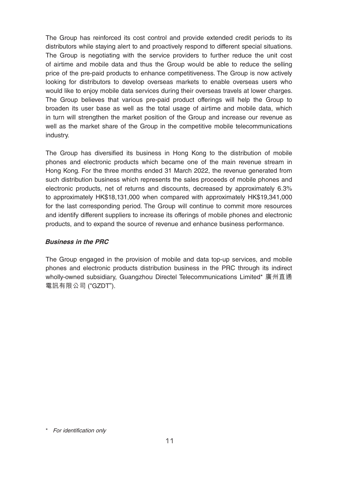The Group has reinforced its cost control and provide extended credit periods to its distributors while staying alert to and proactively respond to different special situations. The Group is negotiating with the service providers to further reduce the unit cost of airtime and mobile data and thus the Group would be able to reduce the selling price of the pre-paid products to enhance competitiveness. The Group is now actively looking for distributors to develop overseas markets to enable overseas users who would like to enjoy mobile data services during their overseas travels at lower charges. The Group believes that various pre-paid product offerings will help the Group to broaden its user base as well as the total usage of airtime and mobile data, which in turn will strengthen the market position of the Group and increase our revenue as well as the market share of the Group in the competitive mobile telecommunications industry.

The Group has diversified its business in Hong Kong to the distribution of mobile phones and electronic products which became one of the main revenue stream in Hong Kong. For the three months ended 31 March 2022, the revenue generated from such distribution business which represents the sales proceeds of mobile phones and electronic products, net of returns and discounts, decreased by approximately 6.3% to approximately HK\$18,131,000 when compared with approximately HK\$19,341,000 for the last corresponding period. The Group will continue to commit more resources and identify different suppliers to increase its offerings of mobile phones and electronic products, and to expand the source of revenue and enhance business performance.

#### **Business in the PRC**

The Group engaged in the provision of mobile and data top-up services, and mobile phones and electronic products distribution business in the PRC through its indirect wholly-owned subsidiary, Guangzhou Directel Telecommunications Limited\* 廣州直通 電訊有限公司 ("GZDT").

\* For identification only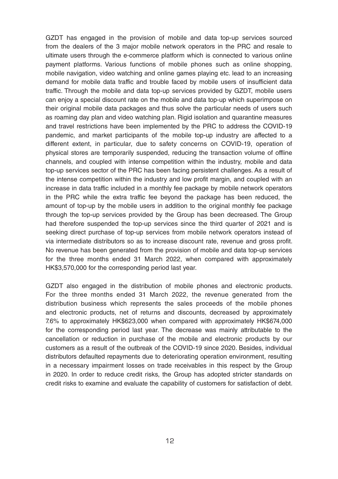GZDT has engaged in the provision of mobile and data top-up services sourced from the dealers of the 3 major mobile network operators in the PRC and resale to ultimate users through the e-commerce platform which is connected to various online payment platforms. Various functions of mobile phones such as online shopping, mobile navigation, video watching and online games playing etc. lead to an increasing demand for mobile data traffic and trouble faced by mobile users of insufficient data traffic. Through the mobile and data top-up services provided by GZDT, mobile users can enjoy a special discount rate on the mobile and data top-up which superimpose on their original mobile data packages and thus solve the particular needs of users such as roaming day plan and video watching plan. Rigid isolation and quarantine measures and travel restrictions have been implemented by the PRC to address the COVID-19 pandemic, and market participants of the mobile top-up industry are affected to a different extent, in particular, due to safety concerns on COVID-19, operation of physical stores are temporarily suspended, reducing the transaction volume of offline channels, and coupled with intense competition within the industry, mobile and data top-up services sector of the PRC has been facing persistent challenges. As a result of the intense competition within the industry and low profit margin, and coupled with an increase in data traffic included in a monthly fee package by mobile network operators in the PRC while the extra traffic fee beyond the package has been reduced, the amount of top-up by the mobile users in addition to the original monthly fee package through the top-up services provided by the Group has been decreased. The Group had therefore suspended the top-up services since the third quarter of 2021 and is seeking direct purchase of top-up services from mobile network operators instead of via intermediate distributors so as to increase discount rate, revenue and gross profit. No revenue has been generated from the provision of mobile and data top-up services for the three months ended 31 March 2022, when compared with approximately HK\$3,570,000 for the corresponding period last year.

GZDT also engaged in the distribution of mobile phones and electronic products. For the three months ended 31 March 2022, the revenue generated from the distribution business which represents the sales proceeds of the mobile phones and electronic products, net of returns and discounts, decreased by approximately 7.6% to approximately HK\$623,000 when compared with approximately HK\$674,000 for the corresponding period last year. The decrease was mainly attributable to the cancellation or reduction in purchase of the mobile and electronic products by our customers as a result of the outbreak of the COVID-19 since 2020. Besides, individual distributors defaulted repayments due to deteriorating operation environment, resulting in a necessary impairment losses on trade receivables in this respect by the Group in 2020. In order to reduce credit risks, the Group has adopted stricter standards on credit risks to examine and evaluate the capability of customers for satisfaction of debt.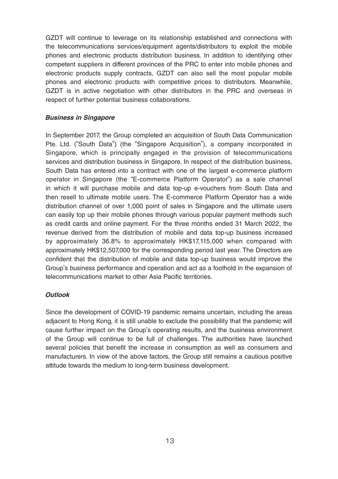GZDT will continue to leverage on its relationship established and connections with the telecommunications services/equipment agents/distributors to exploit the mobile phones and electronic products distribution business. In addition to identifying other competent suppliers in different provinces of the PRC to enter into mobile phones and electronic products supply contracts, GZDT can also sell the most popular mobile phones and electronic products with competitive prices to distributors. Meanwhile, GZDT is in active negotiation with other distributors in the PRC and overseas in respect of further potential business collaborations.

#### **Business in Singapore**

In September 2017, the Group completed an acquisition of South Data Communication Pte. Ltd. ("South Data") (the "Singapore Acquisition"), a company incorporated in Singapore, which is principally engaged in the provision of telecommunications services and distribution business in Singapore. In respect of the distribution business, South Data has entered into a contract with one of the largest e-commerce platform operator in Singapore (the "E-commerce Platform Operator") as a sale channel in which it will purchase mobile and data top-up e-vouchers from South Data and then resell to ultimate mobile users. The E-commerce Platform Operator has a wide distribution channel of over 1,000 point of sales in Singapore and the ultimate users can easily top up their mobile phones through various popular payment methods such as credit cards and online payment. For the three months ended 31 March 2022, the revenue derived from the distribution of mobile and data top-up business increased by approximately 36.8% to approximately HK\$17,115,000 when compared with approximately HK\$12,507,000 for the corresponding period last year. The Directors are confident that the distribution of mobile and data top-up business would improve the Group's business performance and operation and act as a foothold in the expansion of telecommunications market to other Asia Pacific territories.

#### **Outlook**

Since the development of COVID-19 pandemic remains uncertain, including the areas adjacent to Hong Kong, it is still unable to exclude the possibility that the pandemic will cause further impact on the Group's operating results, and the business environment of the Group will continue to be full of challenges. The authorities have launched several policies that benefit the increase in consumption as well as consumers and manufacturers. In view of the above factors, the Group still remains a cautious positive attitude towards the medium to long-term business development.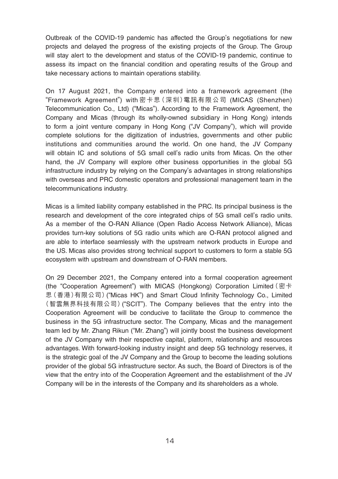Outbreak of the COVID-19 pandemic has affected the Group's negotiations for new projects and delayed the progress of the existing projects of the Group. The Group will stay alert to the development and status of the COVID-19 pandemic, continue to assess its impact on the financial condition and operating results of the Group and take necessary actions to maintain operations stability.

On 17 August 2021, the Company entered into a framework agreement (the "Framework Agreement") with 密卡思(深圳)電訊有限公司 (MICAS (Shenzhen) Telecommunication Co., Ltd) ("Micas"). According to the Framework Agreement, the Company and Micas (through its wholly-owned subsidiary in Hong Kong) intends to form a joint venture company in Hong Kong ("JV Company"), which will provide complete solutions for the digitization of industries, governments and other public institutions and communities around the world. On one hand, the JV Company will obtain IC and solutions of 5G small cell's radio units from Micas. On the other hand, the JV Company will explore other business opportunities in the global 5G infrastructure industry by relying on the Company's advantages in strong relationships with overseas and PRC domestic operators and professional management team in the telecommunications industry.

Micas is a limited liability company established in the PRC. Its principal business is the research and development of the core integrated chips of 5G small cell's radio units. As a member of the O-RAN Alliance (Open Radio Access Network Alliance), Micas provides turn-key solutions of 5G radio units which are O-RAN protocol aligned and are able to interface seamlessly with the upstream network products in Europe and the US. Micas also provides strong technical support to customers to form a stable 5G ecosystem with upstream and downstream of O-RAN members.

On 29 December 2021, the Company entered into a formal cooperation agreement (the "Cooperation Agreement") with MICAS (Hongkong) Corporation Limited(密卡 思(香港)有限公司)("Micas HK") and Smart Cloud Infinity Technology Co., Limited (智雲無界科技有限公司)("SCIT"). The Company believes that the entry into the Cooperation Agreement will be conducive to facilitate the Group to commence the business in the 5G infrastructure sector. The Company, Micas and the management team led by Mr. Zhang Rikun ("Mr. Zhang") will jointly boost the business development of the JV Company with their respective capital, platform, relationship and resources advantages. With forward-looking industry insight and deep 5G technology reserves, it is the strategic goal of the JV Company and the Group to become the leading solutions provider of the global 5G infrastructure sector. As such, the Board of Directors is of the view that the entry into of the Cooperation Agreement and the establishment of the JV Company will be in the interests of the Company and its shareholders as a whole.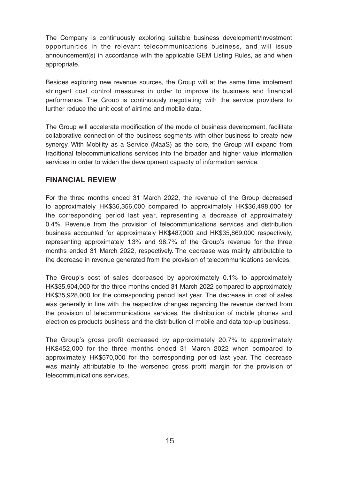The Company is continuously exploring suitable business development/investment opportunities in the relevant telecommunications business, and will issue announcement(s) in accordance with the applicable GEM Listing Rules, as and when appropriate.

Besides exploring new revenue sources, the Group will at the same time implement stringent cost control measures in order to improve its business and financial performance. The Group is continuously negotiating with the service providers to further reduce the unit cost of airtime and mobile data.

The Group will accelerate modification of the mode of business development, facilitate collaborative connection of the business segments with other business to create new synergy. With Mobility as a Service (MaaS) as the core, the Group will expand from traditional telecommunications services into the broader and higher value information services in order to widen the development capacity of information service.

### **FINANCIAL REVIEW**

For the three months ended 31 March 2022, the revenue of the Group decreased to approximately HK\$36,356,000 compared to approximately HK\$36,498,000 for the corresponding period last year, representing a decrease of approximately 0.4%. Revenue from the provision of telecommunications services and distribution business accounted for approximately HK\$487,000 and HK\$35,869,000 respectively, representing approximately 1.3% and 98.7% of the Group's revenue for the three months ended 31 March 2022, respectively. The decrease was mainly attributable to the decrease in revenue generated from the provision of telecommunications services.

The Group's cost of sales decreased by approximately 0.1% to approximately HK\$35,904,000 for the three months ended 31 March 2022 compared to approximately HK\$35,928,000 for the corresponding period last year. The decrease in cost of sales was generally in line with the respective changes regarding the revenue derived from the provision of telecommunications services, the distribution of mobile phones and electronics products business and the distribution of mobile and data top-up business.

The Group's gross profit decreased by approximately 20.7% to approximately HK\$452,000 for the three months ended 31 March 2022 when compared to approximately HK\$570,000 for the corresponding period last year. The decrease was mainly attributable to the worsened gross profit margin for the provision of telecommunications services.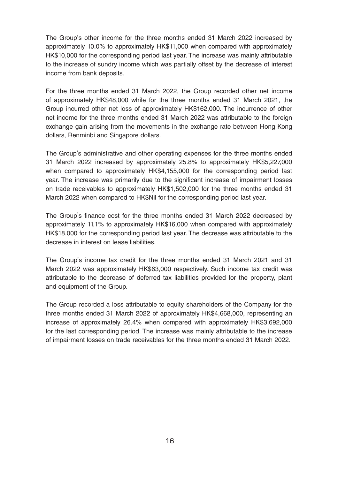The Group's other income for the three months ended 31 March 2022 increased by approximately 10.0% to approximately HK\$11,000 when compared with approximately HK\$10,000 for the corresponding period last year. The increase was mainly attributable to the increase of sundry income which was partially offset by the decrease of interest income from bank deposits.

For the three months ended 31 March 2022, the Group recorded other net income of approximately HK\$48,000 while for the three months ended 31 March 2021, the Group incurred other net loss of approximately HK\$162,000. The incurrence of other net income for the three months ended 31 March 2022 was attributable to the foreign exchange gain arising from the movements in the exchange rate between Hong Kong dollars, Renminbi and Singapore dollars.

The Group's administrative and other operating expenses for the three months ended 31 March 2022 increased by approximately 25.8% to approximately HK\$5,227,000 when compared to approximately HK\$4,155,000 for the corresponding period last year. The increase was primarily due to the significant increase of impairment losses on trade receivables to approximately HK\$1,502,000 for the three months ended 31 March 2022 when compared to HK\$Nil for the corresponding period last year.

The Group's finance cost for the three months ended 31 March 2022 decreased by approximately 11.1% to approximately HK\$16,000 when compared with approximately HK\$18,000 for the corresponding period last year. The decrease was attributable to the decrease in interest on lease liabilities.

The Group's income tax credit for the three months ended 31 March 2021 and 31 March 2022 was approximately HK\$63,000 respectively. Such income tax credit was attributable to the decrease of deferred tax liabilities provided for the property, plant and equipment of the Group.

The Group recorded a loss attributable to equity shareholders of the Company for the three months ended 31 March 2022 of approximately HK\$4,668,000, representing an increase of approximately 26.4% when compared with approximately HK\$3,692,000 for the last corresponding period. The increase was mainly attributable to the increase of impairment losses on trade receivables for the three months ended 31 March 2022.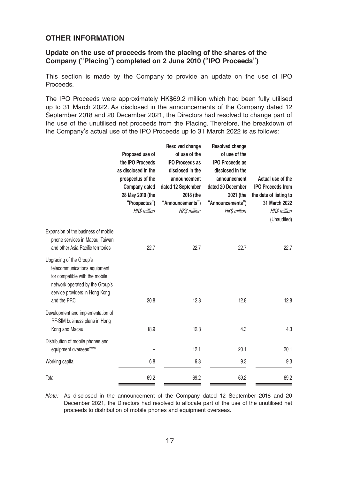### **OTHER INFORMATION**

### **Update on the use of proceeds from the placing of the shares of the Company ("Placing") completed on 2 June 2010 ("IPO Proceeds")**

This section is made by the Company to provide an update on the use of IPO Proceeds.

The IPO Proceeds were approximately HK\$69.2 million which had been fully utilised up to 31 March 2022. As disclosed in the announcements of the Company dated 12 September 2018 and 20 December 2021, the Directors had resolved to change part of the use of the unutilised net proceeds from the Placing. Therefore, the breakdown of the Company's actual use of the IPO Proceeds up to 31 March 2022 is as follows:

|                                                                                                                                                                                | Proposed use of<br>the IPO Proceeds<br>as disclosed in the<br>prospectus of the<br>Company dated<br>28 May 2010 (the<br>"Prospectus")<br><b>HK\$</b> million | Resolved change<br>of use of the<br><b>IPO Proceeds as</b><br>disclosed in the<br>announcement<br>dated 12 September<br>2018 (the<br>"Announcements")<br><b>HKS</b> million | Resolved change<br>of use of the<br><b>IPO Proceeds as</b><br>disclosed in the<br>announcement<br>dated 20 December<br>2021 (the<br>"Announcements")<br><b>HK\$</b> million | Actual use of the<br><b>IPO Proceeds from</b><br>the date of listing to<br>31 March 2022<br><b>HK\$</b> million<br>(Unaudited) |
|--------------------------------------------------------------------------------------------------------------------------------------------------------------------------------|--------------------------------------------------------------------------------------------------------------------------------------------------------------|-----------------------------------------------------------------------------------------------------------------------------------------------------------------------------|-----------------------------------------------------------------------------------------------------------------------------------------------------------------------------|--------------------------------------------------------------------------------------------------------------------------------|
| Expansion of the business of mobile<br>phone services in Macau, Taiwan<br>and other Asia Pacific territories                                                                   | 22.7                                                                                                                                                         | 22.7                                                                                                                                                                        | 22.7                                                                                                                                                                        | 22.7                                                                                                                           |
| Upgrading of the Group's<br>telecommunications equipment<br>for compatible with the mobile<br>network operated by the Group's<br>service providers in Hong Kong<br>and the PRC | 20.8                                                                                                                                                         | 12.8                                                                                                                                                                        | 12.8                                                                                                                                                                        | 12.8                                                                                                                           |
| Development and implementation of<br>RF-SIM business plans in Hong<br>Kong and Macau                                                                                           | 18.9                                                                                                                                                         | 12.3                                                                                                                                                                        | 4.3                                                                                                                                                                         | 4.3                                                                                                                            |
| Distribution of mobile phones and<br>equipment overseas(Note)                                                                                                                  |                                                                                                                                                              | 12.1                                                                                                                                                                        | 20.1                                                                                                                                                                        | 20.1                                                                                                                           |
| Working capital                                                                                                                                                                | 6.8                                                                                                                                                          | 9.3                                                                                                                                                                         | 9.3                                                                                                                                                                         | 9.3                                                                                                                            |
| Total                                                                                                                                                                          | 69.2                                                                                                                                                         | 69.2                                                                                                                                                                        | 69.2                                                                                                                                                                        | 69.2                                                                                                                           |

Note: As disclosed in the announcement of the Company dated 12 September 2018 and 20 December 2021, the Directors had resolved to allocate part of the use of the unutilised net proceeds to distribution of mobile phones and equipment overseas.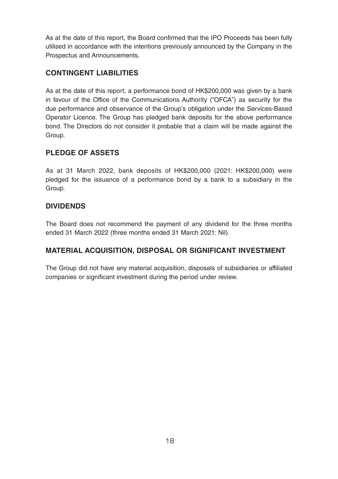As at the date of this report, the Board confirmed that the IPO Proceeds has been fully utilised in accordance with the intentions previously announced by the Company in the Prospectus and Announcements.

# **CONTINGENT LIABILITIES**

As at the date of this report, a performance bond of HK\$200,000 was given by a bank in favour of the Office of the Communications Authority ("OFCA") as security for the due performance and observance of the Group's obligation under the Services-Based Operator Licence. The Group has pledged bank deposits for the above performance bond. The Directors do not consider it probable that a claim will be made against the Group.

# **PLEDGE OF ASSETS**

As at 31 March 2022, bank deposits of HK\$200,000 (2021: HK\$200,000) were pledged for the issuance of a performance bond by a bank to a subsidiary in the Group.

# **DIVIDENDS**

The Board does not recommend the payment of any dividend for the three months ended 31 March 2022 (three months ended 31 March 2021: Nil).

# **MATERIAL ACQUISITION, DISPOSAL OR SIGNIFICANT INVESTMENT**

The Group did not have any material acquisition, disposals of subsidiaries or affiliated companies or significant investment during the period under review.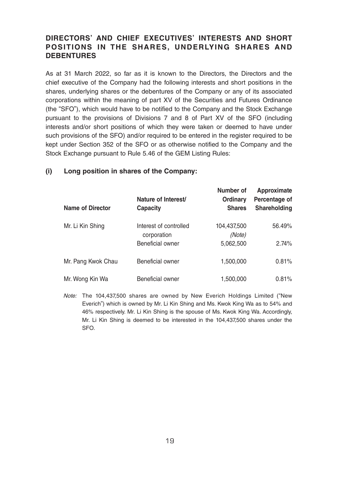# **DIRECTORS' AND CHIEF EXECUTIVES' INTERESTS AND SHORT POSITIONS IN THE SHARES, UNDERLYING SHARES AND DEBENTURES**

As at 31 March 2022, so far as it is known to the Directors, the Directors and the chief executive of the Company had the following interests and short positions in the shares, underlying shares or the debentures of the Company or any of its associated corporations within the meaning of part XV of the Securities and Futures Ordinance (the "SFO"), which would have to be notified to the Company and the Stock Exchange pursuant to the provisions of Divisions 7 and 8 of Part XV of the SFO (including interests and/or short positions of which they were taken or deemed to have under such provisions of the SFO) and/or required to be entered in the register required to be kept under Section 352 of the SFO or as otherwise notified to the Company and the Stock Exchange pursuant to Rule 5.46 of the GEM Listing Rules:

| Name of Director   | Nature of Interest/<br>Capacity       | Number of<br>Ordinary<br><b>Shares</b> | Approximate<br>Percentage of<br>Shareholding |
|--------------------|---------------------------------------|----------------------------------------|----------------------------------------------|
| Mr. Li Kin Shing   | Interest of controlled<br>corporation | 104,437,500<br>(Note)                  | 56.49%                                       |
|                    | Beneficial owner                      | 5,062,500                              | 2.74%                                        |
| Mr. Pang Kwok Chau | Beneficial owner                      | 1.500.000                              | 0.81%                                        |
| Mr. Wong Kin Wa    | Beneficial owner                      | 1,500,000                              | 0.81%                                        |

### **(i) Long position in shares of the Company:**

Note: The 104,437,500 shares are owned by New Everich Holdings Limited ("New Everich") which is owned by Mr. Li Kin Shing and Ms. Kwok King Wa as to 54% and 46% respectively. Mr. Li Kin Shing is the spouse of Ms. Kwok King Wa. Accordingly, Mr. Li Kin Shing is deemed to be interested in the 104,437,500 shares under the SFO.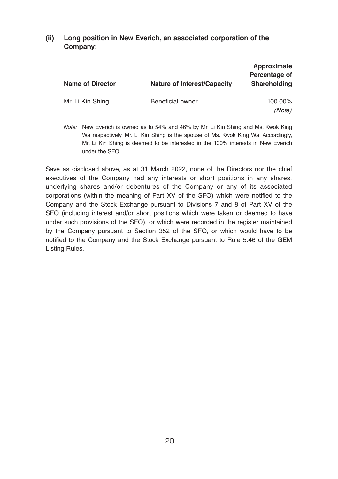### **(ii) Long position in New Everich, an associated corporation of the Company:**

| <b>Name of Director</b> | Nature of Interest/Capacity | Approximate<br>Percentage of<br>Shareholding |
|-------------------------|-----------------------------|----------------------------------------------|
| Mr. Li Kin Shing        | Beneficial owner            | 100.00%<br>(Note)                            |

Note: New Everich is owned as to 54% and 46% by Mr. Li Kin Shing and Ms. Kwok King Wa respectively. Mr. Li Kin Shing is the spouse of Ms. Kwok King Wa. Accordingly, Mr. Li Kin Shing is deemed to be interested in the 100% interests in New Everich under the SFO.

Save as disclosed above, as at 31 March 2022, none of the Directors nor the chief executives of the Company had any interests or short positions in any shares, underlying shares and/or debentures of the Company or any of its associated corporations (within the meaning of Part XV of the SFO) which were notified to the Company and the Stock Exchange pursuant to Divisions 7 and 8 of Part XV of the SFO (including interest and/or short positions which were taken or deemed to have under such provisions of the SFO), or which were recorded in the register maintained by the Company pursuant to Section 352 of the SFO, or which would have to be notified to the Company and the Stock Exchange pursuant to Rule 5.46 of the GEM Listing Rules.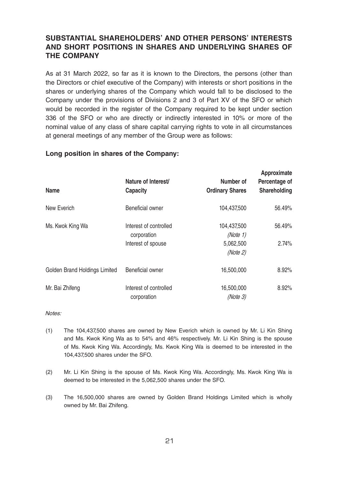# **SUBSTANTIAL SHAREHOLDERS' AND OTHER PERSONS' INTERESTS AND SHORT POSITIONS IN SHARES AND UNDERLYING SHARES OF THE COMPANY**

As at 31 March 2022, so far as it is known to the Directors, the persons (other than the Directors or chief executive of the Company) with interests or short positions in the shares or underlying shares of the Company which would fall to be disclosed to the Company under the provisions of Divisions 2 and 3 of Part XV of the SFO or which would be recorded in the register of the Company required to be kept under section 336 of the SFO or who are directly or indirectly interested in 10% or more of the nominal value of any class of share capital carrying rights to vote in all circumstances at general meetings of any member of the Group were as follows:

**Approximate**

| Name                          | Nature of Interest/<br>Capacity                             | Number of<br><b>Ordinary Shares</b>              | Approximate<br>Percentage of<br>Shareholding |
|-------------------------------|-------------------------------------------------------------|--------------------------------------------------|----------------------------------------------|
| New Everich                   | Beneficial owner                                            | 104.437.500                                      | 56.49%                                       |
| Ms. Kwok King Wa              | Interest of controlled<br>corporation<br>Interest of spouse | 104,437,500<br>(Note 1)<br>5,062,500<br>(Note 2) | 56.49%<br>2.74%                              |
| Golden Brand Holdings Limited | Beneficial owner                                            | 16,500,000                                       | 8.92%                                        |
| Mr. Bai Zhifeng               | Interest of controlled<br>corporation                       | 16,500,000<br>(Note 3)                           | 8.92%                                        |

#### **Long position in shares of the Company:**

#### Notes:

- (1) The 104,437,500 shares are owned by New Everich which is owned by Mr. Li Kin Shing and Ms. Kwok King Wa as to 54% and 46% respectively. Mr. Li Kin Shing is the spouse of Ms. Kwok King Wa. Accordingly, Ms. Kwok King Wa is deemed to be interested in the 104,437,500 shares under the SFO.
- (2) Mr. Li Kin Shing is the spouse of Ms. Kwok King Wa. Accordingly, Ms. Kwok King Wa is deemed to be interested in the 5,062,500 shares under the SFO.
- (3) The 16,500,000 shares are owned by Golden Brand Holdings Limited which is wholly owned by Mr. Bai Zhifeng.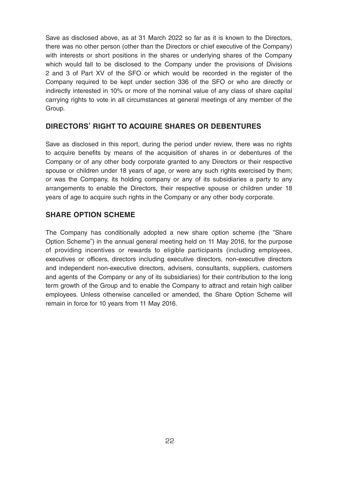Save as disclosed above, as at 31 March 2022 so far as it is known to the Directors, there was no other person (other than the Directors or chief executive of the Company) with interests or short positions in the shares or underlying shares of the Company which would fall to be disclosed to the Company under the provisions of Divisions 2 and 3 of Part XV of the SFO or which would be recorded in the register of the Company required to be kept under section 336 of the SFO or who are directly or indirectly interested in 10% or more of the nominal value of any class of share capital carrying rights to vote in all circumstances at general meetings of any member of the Group.

### **DIRECTORS' RIGHT TO ACQUIRE SHARES OR DEBENTURES**

Save as disclosed in this report, during the period under review, there was no rights to acquire benefits by means of the acquisition of shares in or debentures of the Company or of any other body corporate granted to any Directors or their respective spouse or children under 18 years of age, or were any such rights exercised by them; or was the Company, its holding company or any of its subsidiaries a party to any arrangements to enable the Directors, their respective spouse or children under 18 years of age to acquire such rights in the Company or any other body corporate.

### **SHARE OPTION SCHEME**

The Company has conditionally adopted a new share option scheme (the "Share Option Scheme") in the annual general meeting held on 11 May 2016, for the purpose of providing incentives or rewards to eligible participants (including employees, executives or officers, directors including executive directors, non-executive directors and independent non-executive directors, advisers, consultants, suppliers, customers and agents of the Company or any of its subsidiaries) for their contribution to the long term growth of the Group and to enable the Company to attract and retain high caliber employees. Unless otherwise cancelled or amended, the Share Option Scheme will remain in force for 10 years from 11 May 2016.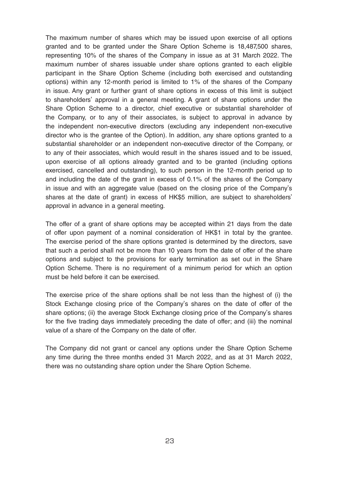The maximum number of shares which may be issued upon exercise of all options granted and to be granted under the Share Option Scheme is 18,487,500 shares, representing 10% of the shares of the Company in issue as at 31 March 2022. The maximum number of shares issuable under share options granted to each eligible participant in the Share Option Scheme (including both exercised and outstanding options) within any 12-month period is limited to 1% of the shares of the Company in issue. Any grant or further grant of share options in excess of this limit is subject to shareholders' approval in a general meeting. A grant of share options under the Share Option Scheme to a director, chief executive or substantial shareholder of the Company, or to any of their associates, is subject to approval in advance by the independent non-executive directors (excluding any independent non-executive director who is the grantee of the Option). In addition, any share options granted to a substantial shareholder or an independent non-executive director of the Company, or to any of their associates, which would result in the shares issued and to be issued, upon exercise of all options already granted and to be granted (including options exercised, cancelled and outstanding), to such person in the 12-month period up to and including the date of the grant in excess of 0.1% of the shares of the Company in issue and with an aggregate value (based on the closing price of the Company's shares at the date of grant) in excess of HK\$5 million, are subject to shareholders' approval in advance in a general meeting.

The offer of a grant of share options may be accepted within 21 days from the date of offer upon payment of a nominal consideration of HK\$1 in total by the grantee. The exercise period of the share options granted is determined by the directors, save that such a period shall not be more than 10 years from the date of offer of the share options and subject to the provisions for early termination as set out in the Share Option Scheme. There is no requirement of a minimum period for which an option must be held before it can be exercised.

The exercise price of the share options shall be not less than the highest of (i) the Stock Exchange closing price of the Company's shares on the date of offer of the share options; (ii) the average Stock Exchange closing price of the Company's shares for the five trading days immediately preceding the date of offer; and (iii) the nominal value of a share of the Company on the date of offer.

The Company did not grant or cancel any options under the Share Option Scheme any time during the three months ended 31 March 2022, and as at 31 March 2022, there was no outstanding share option under the Share Option Scheme.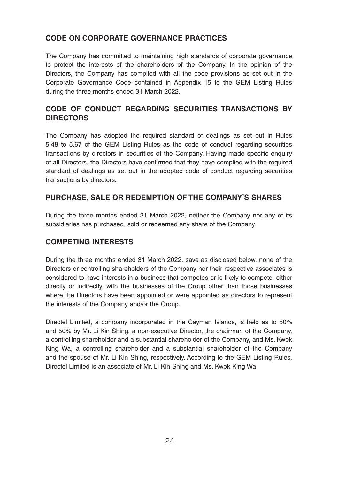# **CODE ON CORPORATE GOVERNANCE PRACTICES**

The Company has committed to maintaining high standards of corporate governance to protect the interests of the shareholders of the Company. In the opinion of the Directors, the Company has complied with all the code provisions as set out in the Corporate Governance Code contained in Appendix 15 to the GEM Listing Rules during the three months ended 31 March 2022.

# **CODE OF CONDUCT REGARDING SECURITIES TRANSACTIONS BY DIRECTORS**

The Company has adopted the required standard of dealings as set out in Rules 5.48 to 5.67 of the GEM Listing Rules as the code of conduct regarding securities transactions by directors in securities of the Company. Having made specific enquiry of all Directors, the Directors have confirmed that they have complied with the required standard of dealings as set out in the adopted code of conduct regarding securities transactions by directors.

### **PURCHASE, SALE OR REDEMPTION OF THE COMPANY'S SHARES**

During the three months ended 31 March 2022, neither the Company nor any of its subsidiaries has purchased, sold or redeemed any share of the Company.

### **COMPETING INTERESTS**

During the three months ended 31 March 2022, save as disclosed below, none of the Directors or controlling shareholders of the Company nor their respective associates is considered to have interests in a business that competes or is likely to compete, either directly or indirectly, with the businesses of the Group other than those businesses where the Directors have been appointed or were appointed as directors to represent the interests of the Company and/or the Group.

Directel Limited, a company incorporated in the Cayman Islands, is held as to 50% and 50% by Mr. Li Kin Shing, a non-executive Director, the chairman of the Company, a controlling shareholder and a substantial shareholder of the Company, and Ms. Kwok King Wa, a controlling shareholder and a substantial shareholder of the Company and the spouse of Mr. Li Kin Shing, respectively. According to the GEM Listing Rules, Directel Limited is an associate of Mr. Li Kin Shing and Ms. Kwok King Wa.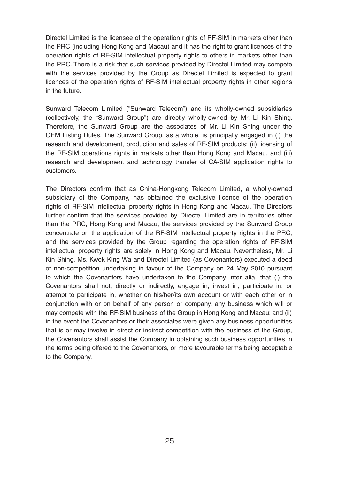Directel Limited is the licensee of the operation rights of RF-SIM in markets other than the PRC (including Hong Kong and Macau) and it has the right to grant licences of the operation rights of RF-SIM intellectual property rights to others in markets other than the PRC. There is a risk that such services provided by Directel Limited may compete with the services provided by the Group as Directel Limited is expected to grant licences of the operation rights of RF-SIM intellectual property rights in other regions in the future.

Sunward Telecom Limited ("Sunward Telecom") and its wholly-owned subsidiaries (collectively, the "Sunward Group") are directly wholly-owned by Mr. Li Kin Shing. Therefore, the Sunward Group are the associates of Mr. Li Kin Shing under the GEM Listing Rules. The Sunward Group, as a whole, is principally engaged in (i) the research and development, production and sales of RF-SIM products; (ii) licensing of the RF-SIM operations rights in markets other than Hong Kong and Macau, and (iii) research and development and technology transfer of CA-SIM application rights to customers.

The Directors confirm that as China-Hongkong Telecom Limited, a wholly-owned subsidiary of the Company, has obtained the exclusive licence of the operation rights of RF-SIM intellectual property rights in Hong Kong and Macau. The Directors further confirm that the services provided by Directel Limited are in territories other than the PRC, Hong Kong and Macau, the services provided by the Sunward Group concentrate on the application of the RF-SIM intellectual property rights in the PRC, and the services provided by the Group regarding the operation rights of RF-SIM intellectual property rights are solely in Hong Kong and Macau. Nevertheless, Mr. Li Kin Shing, Ms. Kwok King Wa and Directel Limited (as Covenantors) executed a deed of non-competition undertaking in favour of the Company on 24 May 2010 pursuant to which the Covenantors have undertaken to the Company inter alia, that (i) the Covenantors shall not, directly or indirectly, engage in, invest in, participate in, or attempt to participate in, whether on his/her/its own account or with each other or in conjunction with or on behalf of any person or company, any business which will or may compete with the RF-SIM business of the Group in Hong Kong and Macau; and (ii) in the event the Covenantors or their associates were given any business opportunities that is or may involve in direct or indirect competition with the business of the Group, the Covenantors shall assist the Company in obtaining such business opportunities in the terms being offered to the Covenantors, or more favourable terms being acceptable to the Company.